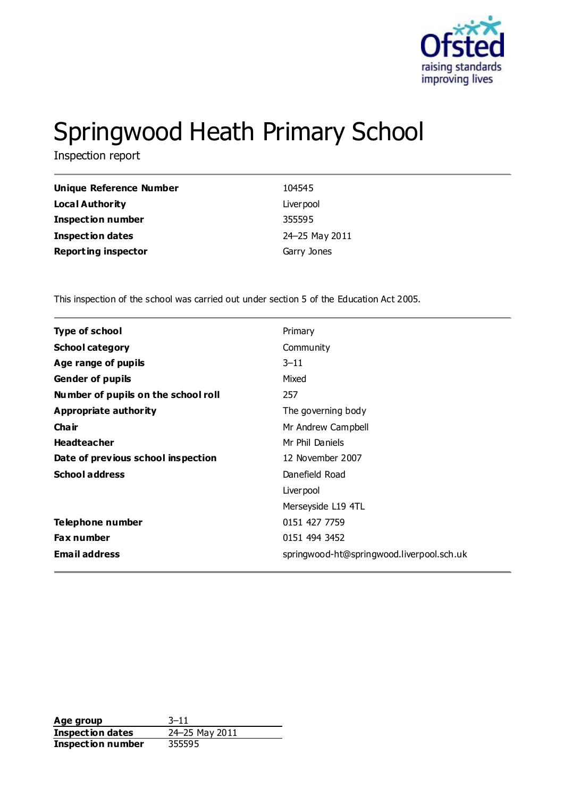

# Springwood Heath Primary School

Inspection report

| Unique Reference Number    | 104545         |
|----------------------------|----------------|
| <b>Local Authority</b>     | Liver pool     |
| <b>Inspection number</b>   | 355595         |
| <b>Inspection dates</b>    | 24-25 May 2011 |
| <b>Reporting inspector</b> | Garry Jones    |

This inspection of the school was carried out under section 5 of the Education Act 2005.

| <b>Type of school</b>               | Primary                                   |
|-------------------------------------|-------------------------------------------|
| <b>School category</b>              | Community                                 |
| Age range of pupils                 | $3 - 11$                                  |
| <b>Gender of pupils</b>             | Mixed                                     |
| Number of pupils on the school roll | 257                                       |
| Appropriate authority               | The governing body                        |
| Cha ir                              | Mr Andrew Campbell                        |
| <b>Headteacher</b>                  | Mr Phil Daniels                           |
| Date of previous school inspection  | 12 November 2007                          |
| <b>School address</b>               | Danefield Road                            |
|                                     | Liver pool                                |
|                                     | Merseyside L19 4TL                        |
| Telephone number                    | 0151 427 7759                             |
| <b>Fax number</b>                   | 0151 494 3452                             |
| <b>Email address</b>                | springwood-ht@springwood.liverpool.sch.uk |
|                                     |                                           |

**Age group** 3-11<br> **Inspection dates** 24-25 May 2011 **Inspection dates Inspection number** 355595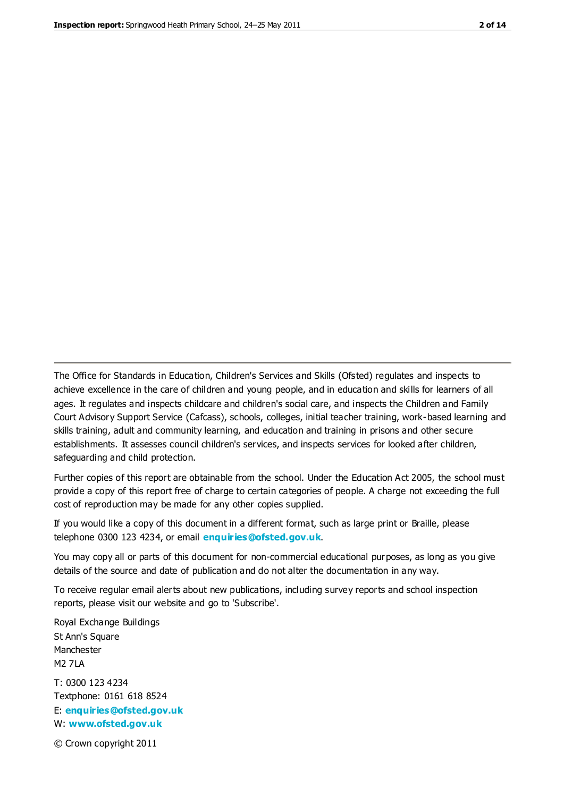The Office for Standards in Education, Children's Services and Skills (Ofsted) regulates and inspects to achieve excellence in the care of children and young people, and in education and skills for learners of all ages. It regulates and inspects childcare and children's social care, and inspects the Children and Family Court Advisory Support Service (Cafcass), schools, colleges, initial teacher training, work-based learning and skills training, adult and community learning, and education and training in prisons and other secure establishments. It assesses council children's services, and inspects services for looked after children, safeguarding and child protection.

Further copies of this report are obtainable from the school. Under the Education Act 2005, the school must provide a copy of this report free of charge to certain categories of people. A charge not exceeding the full cost of reproduction may be made for any other copies supplied.

If you would like a copy of this document in a different format, such as large print or Braille, please telephone 0300 123 4234, or email **[enquiries@ofsted.gov.uk](mailto:enquiries@ofsted.gov.uk)**.

You may copy all or parts of this document for non-commercial educational purposes, as long as you give details of the source and date of publication and do not alter the documentation in any way.

To receive regular email alerts about new publications, including survey reports and school inspection reports, please visit our website and go to 'Subscribe'.

Royal Exchange Buildings St Ann's Square Manchester M2 7LA T: 0300 123 4234 Textphone: 0161 618 8524 E: **[enquiries@ofsted.gov.uk](mailto:enquiries@ofsted.gov.uk)**

W: **[www.ofsted.gov.uk](http://www.ofsted.gov.uk/)**

© Crown copyright 2011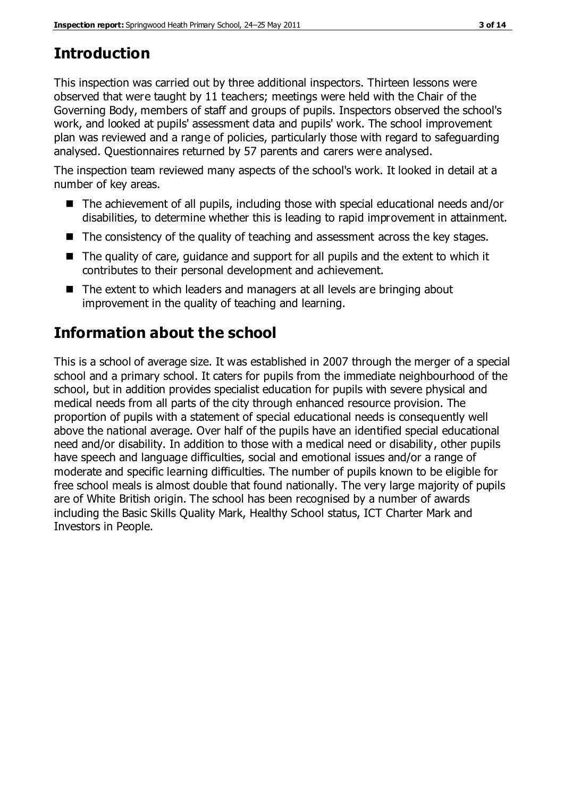# **Introduction**

This inspection was carried out by three additional inspectors. Thirteen lessons were observed that were taught by 11 teachers; meetings were held with the Chair of the Governing Body, members of staff and groups of pupils. Inspectors observed the school's work, and looked at pupils' assessment data and pupils' work. The school improvement plan was reviewed and a range of policies, particularly those with regard to safeguarding analysed. Questionnaires returned by 57 parents and carers were analysed.

The inspection team reviewed many aspects of the school's work. It looked in detail at a number of key areas.

- The achievement of all pupils, including those with special educational needs and/or disabilities, to determine whether this is leading to rapid improvement in attainment.
- The consistency of the quality of teaching and assessment across the key stages.
- The quality of care, quidance and support for all pupils and the extent to which it contributes to their personal development and achievement.
- The extent to which leaders and managers at all levels are bringing about improvement in the quality of teaching and learning.

# **Information about the school**

This is a school of average size. It was established in 2007 through the merger of a special school and a primary school. It caters for pupils from the immediate neighbourhood of the school, but in addition provides specialist education for pupils with severe physical and medical needs from all parts of the city through enhanced resource provision. The proportion of pupils with a statement of special educational needs is consequently well above the national average. Over half of the pupils have an identified special educational need and/or disability. In addition to those with a medical need or disability, other pupils have speech and language difficulties, social and emotional issues and/or a range of moderate and specific learning difficulties. The number of pupils known to be eligible for free school meals is almost double that found nationally. The very large majority of pupils are of White British origin. The school has been recognised by a number of awards including the Basic Skills Quality Mark, Healthy School status, ICT Charter Mark and Investors in People.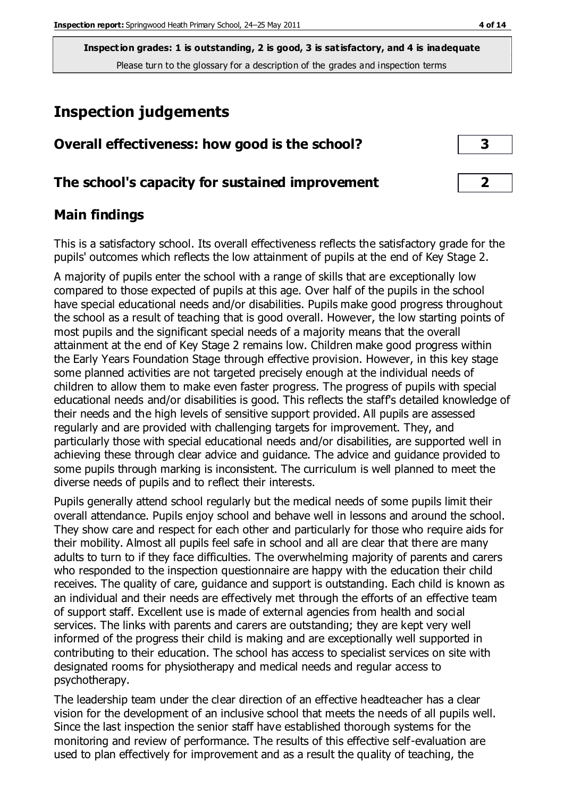# **Inspection judgements**

| Overall effectiveness: how good is the school?  | 3 |
|-------------------------------------------------|---|
| The school's capacity for sustained improvement |   |

## **Main findings**

This is a satisfactory school. Its overall effectiveness reflects the satisfactory grade for the pupils' outcomes which reflects the low attainment of pupils at the end of Key Stage 2.

A majority of pupils enter the school with a range of skills that are exceptionally low compared to those expected of pupils at this age. Over half of the pupils in the school have special educational needs and/or disabilities. Pupils make good progress throughout the school as a result of teaching that is good overall. However, the low starting points of most pupils and the significant special needs of a majority means that the overall attainment at the end of Key Stage 2 remains low. Children make good progress within the Early Years Foundation Stage through effective provision. However, in this key stage some planned activities are not targeted precisely enough at the individual needs of children to allow them to make even faster progress. The progress of pupils with special educational needs and/or disabilities is good. This reflects the staff's detailed knowledge of their needs and the high levels of sensitive support provided. All pupils are assessed regularly and are provided with challenging targets for improvement. They, and particularly those with special educational needs and/or disabilities, are supported well in achieving these through clear advice and guidance. The advice and guidance provided to some pupils through marking is inconsistent. The curriculum is well planned to meet the diverse needs of pupils and to reflect their interests.

Pupils generally attend school regularly but the medical needs of some pupils limit their overall attendance. Pupils enjoy school and behave well in lessons and around the school. They show care and respect for each other and particularly for those who require aids for their mobility. Almost all pupils feel safe in school and all are clear that there are many adults to turn to if they face difficulties. The overwhelming majority of parents and carers who responded to the inspection questionnaire are happy with the education their child receives. The quality of care, guidance and support is outstanding. Each child is known as an individual and their needs are effectively met through the efforts of an effective team of support staff. Excellent use is made of external agencies from health and social services. The links with parents and carers are outstanding; they are kept very well informed of the progress their child is making and are exceptionally well supported in contributing to their education. The school has access to specialist services on site with designated rooms for physiotherapy and medical needs and regular access to psychotherapy.

The leadership team under the clear direction of an effective headteacher has a clear vision for the development of an inclusive school that meets the needs of all pupils well. Since the last inspection the senior staff have established thorough systems for the monitoring and review of performance. The results of this effective self-evaluation are used to plan effectively for improvement and as a result the quality of teaching, the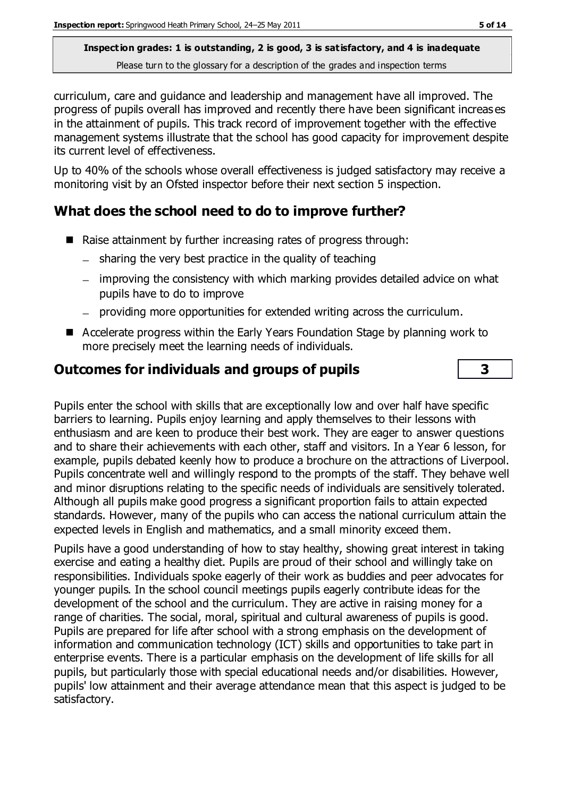curriculum, care and guidance and leadership and management have all improved. The progress of pupils overall has improved and recently there have been significant increas es in the attainment of pupils. This track record of improvement together with the effective management systems illustrate that the school has good capacity for improvement despite its current level of effectiveness.

Up to 40% of the schools whose overall effectiveness is judged satisfactory may receive a monitoring visit by an Ofsted inspector before their next section 5 inspection.

## **What does the school need to do to improve further?**

- Raise attainment by further increasing rates of progress through:
	- $-$  sharing the very best practice in the quality of teaching
	- improving the consistency with which marking provides detailed advice on what pupils have to do to improve
	- providing more opportunities for extended writing across the curriculum.
- Accelerate progress within the Early Years Foundation Stage by planning work to more precisely meet the learning needs of individuals.

## **Outcomes for individuals and groups of pupils 3**

Pupils enter the school with skills that are exceptionally low and over half have specific barriers to learning. Pupils enjoy learning and apply themselves to their lessons with enthusiasm and are keen to produce their best work. They are eager to answer questions and to share their achievements with each other, staff and visitors. In a Year 6 lesson, for example, pupils debated keenly how to produce a brochure on the attractions of Liverpool. Pupils concentrate well and willingly respond to the prompts of the staff. They behave well and minor disruptions relating to the specific needs of individuals are sensitively tolerated. Although all pupils make good progress a significant proportion fails to attain expected standards. However, many of the pupils who can access the national curriculum attain the expected levels in English and mathematics, and a small minority exceed them.

Pupils have a good understanding of how to stay healthy, showing great interest in taking exercise and eating a healthy diet. Pupils are proud of their school and willingly take on responsibilities. Individuals spoke eagerly of their work as buddies and peer advocates for younger pupils. In the school council meetings pupils eagerly contribute ideas for the development of the school and the curriculum. They are active in raising money for a range of charities. The social, moral, spiritual and cultural awareness of pupils is good. Pupils are prepared for life after school with a strong emphasis on the development of information and communication technology (ICT) skills and opportunities to take part in enterprise events. There is a particular emphasis on the development of life skills for all pupils, but particularly those with special educational needs and/or disabilities. However, pupils' low attainment and their average attendance mean that this aspect is judged to be satisfactory.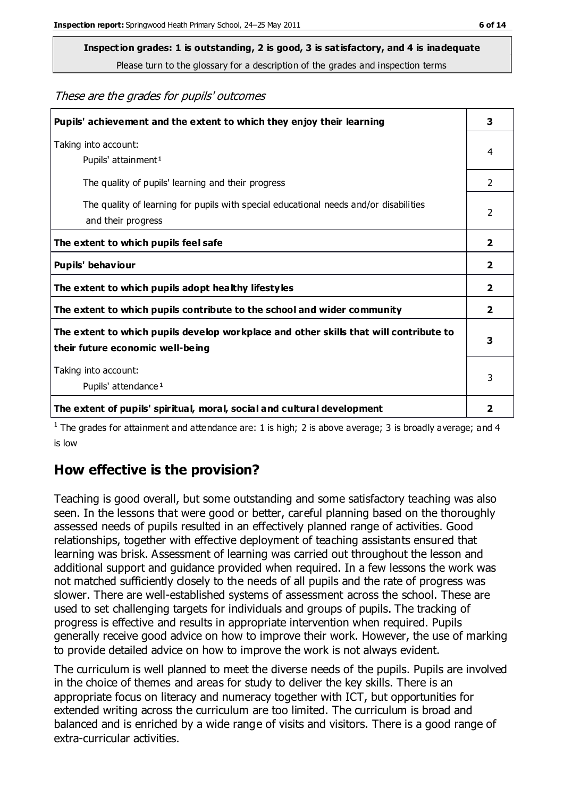# **Inspection grades: 1 is outstanding, 2 is good, 3 is satisfactory, and 4 is inadequate**

Please turn to the glossary for a description of the grades and inspection terms

These are the grades for pupils' outcomes

| Pupils' achievement and the extent to which they enjoy their learning                                                     | 3              |
|---------------------------------------------------------------------------------------------------------------------------|----------------|
| Taking into account:<br>Pupils' attainment <sup>1</sup>                                                                   | 4              |
| The quality of pupils' learning and their progress                                                                        | $\mathfrak{D}$ |
| The quality of learning for pupils with special educational needs and/or disabilities<br>and their progress               | $\overline{2}$ |
| The extent to which pupils feel safe                                                                                      | $\mathbf{z}$   |
| Pupils' behaviour                                                                                                         | $\overline{2}$ |
| The extent to which pupils adopt healthy lifestyles                                                                       | 2              |
| The extent to which pupils contribute to the school and wider community                                                   | 2              |
| The extent to which pupils develop workplace and other skills that will contribute to<br>their future economic well-being | 3              |
| Taking into account:<br>Pupils' attendance <sup>1</sup>                                                                   | 3              |
| The extent of pupils' spiritual, moral, social and cultural development                                                   | 2              |

<sup>1</sup> The grades for attainment and attendance are: 1 is high; 2 is above average; 3 is broadly average; and 4 is low

## **How effective is the provision?**

Teaching is good overall, but some outstanding and some satisfactory teaching was also seen. In the lessons that were good or better, careful planning based on the thoroughly assessed needs of pupils resulted in an effectively planned range of activities. Good relationships, together with effective deployment of teaching assistants ensured that learning was brisk. Assessment of learning was carried out throughout the lesson and additional support and guidance provided when required. In a few lessons the work was not matched sufficiently closely to the needs of all pupils and the rate of progress was slower. There are well-established systems of assessment across the school. These are used to set challenging targets for individuals and groups of pupils. The tracking of progress is effective and results in appropriate intervention when required. Pupils generally receive good advice on how to improve their work. However, the use of marking to provide detailed advice on how to improve the work is not always evident.

The curriculum is well planned to meet the diverse needs of the pupils. Pupils are involved in the choice of themes and areas for study to deliver the key skills. There is an appropriate focus on literacy and numeracy together with ICT, but opportunities for extended writing across the curriculum are too limited. The curriculum is broad and balanced and is enriched by a wide range of visits and visitors. There is a good range of extra-curricular activities.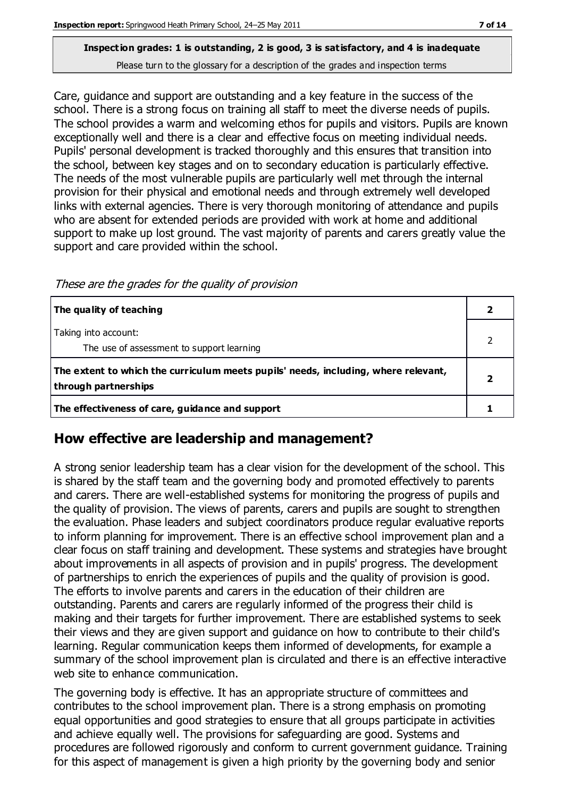Care, guidance and support are outstanding and a key feature in the success of the school. There is a strong focus on training all staff to meet the diverse needs of pupils. The school provides a warm and welcoming ethos for pupils and visitors. Pupils are known exceptionally well and there is a clear and effective focus on meeting individual needs. Pupils' personal development is tracked thoroughly and this ensures that transition into the school, between key stages and on to secondary education is particularly effective. The needs of the most vulnerable pupils are particularly well met through the internal provision for their physical and emotional needs and through extremely well developed links with external agencies. There is very thorough monitoring of attendance and pupils who are absent for extended periods are provided with work at home and additional support to make up lost ground. The vast majority of parents and carers greatly value the support and care provided within the school.

These are the grades for the quality of provision

| The quality of teaching                                                                                    |  |
|------------------------------------------------------------------------------------------------------------|--|
| Taking into account:<br>The use of assessment to support learning                                          |  |
| The extent to which the curriculum meets pupils' needs, including, where relevant,<br>through partnerships |  |
| The effectiveness of care, guidance and support                                                            |  |

## **How effective are leadership and management?**

A strong senior leadership team has a clear vision for the development of the school. This is shared by the staff team and the governing body and promoted effectively to parents and carers. There are well-established systems for monitoring the progress of pupils and the quality of provision. The views of parents, carers and pupils are sought to strengthen the evaluation. Phase leaders and subject coordinators produce regular evaluative reports to inform planning for improvement. There is an effective school improvement plan and a clear focus on staff training and development. These systems and strategies have brought about improvements in all aspects of provision and in pupils' progress. The development of partnerships to enrich the experiences of pupils and the quality of provision is good. The efforts to involve parents and carers in the education of their children are outstanding. Parents and carers are regularly informed of the progress their child is making and their targets for further improvement. There are established systems to seek their views and they are given support and guidance on how to contribute to their child's learning. Regular communication keeps them informed of developments, for example a summary of the school improvement plan is circulated and there is an effective interactive web site to enhance communication.

The governing body is effective. It has an appropriate structure of committees and contributes to the school improvement plan. There is a strong emphasis on promoting equal opportunities and good strategies to ensure that all groups participate in activities and achieve equally well. The provisions for safeguarding are good. Systems and procedures are followed rigorously and conform to current government guidance. Training for this aspect of management is given a high priority by the governing body and senior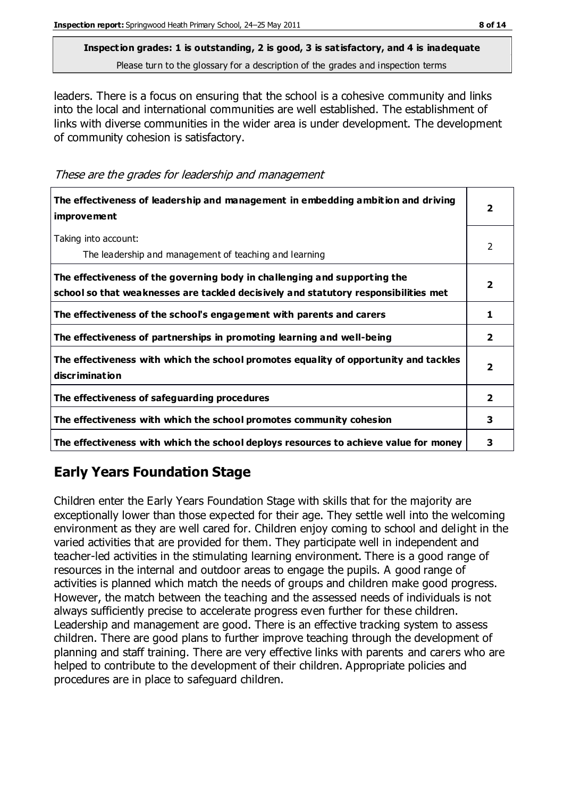leaders. There is a focus on ensuring that the school is a cohesive community and links into the local and international communities are well established. The establishment of links with diverse communities in the wider area is under development. The development of community cohesion is satisfactory.

These are the grades for leadership and management

| The effectiveness of leadership and management in embedding ambition and driving<br><i>improvement</i>                                                           |               |
|------------------------------------------------------------------------------------------------------------------------------------------------------------------|---------------|
| Taking into account:<br>The leadership and management of teaching and learning                                                                                   | $\mathcal{P}$ |
| The effectiveness of the governing body in challenging and supporting the<br>school so that weaknesses are tackled decisively and statutory responsibilities met | $\mathbf{2}$  |
| The effectiveness of the school's engagement with parents and carers                                                                                             | 1             |
| The effectiveness of partnerships in promoting learning and well-being                                                                                           | $\mathbf{2}$  |
| The effectiveness with which the school promotes equality of opportunity and tackles<br>discrimination                                                           | $\mathbf{2}$  |
| The effectiveness of safeguarding procedures                                                                                                                     | $\mathbf{2}$  |
| The effectiveness with which the school promotes community cohesion                                                                                              | 3             |
| The effectiveness with which the school deploys resources to achieve value for money                                                                             | 3             |

## **Early Years Foundation Stage**

Children enter the Early Years Foundation Stage with skills that for the majority are exceptionally lower than those expected for their age. They settle well into the welcoming environment as they are well cared for. Children enjoy coming to school and delight in the varied activities that are provided for them. They participate well in independent and teacher-led activities in the stimulating learning environment. There is a good range of resources in the internal and outdoor areas to engage the pupils. A good range of activities is planned which match the needs of groups and children make good progress. However, the match between the teaching and the assessed needs of individuals is not always sufficiently precise to accelerate progress even further for these children. Leadership and management are good. There is an effective tracking system to assess children. There are good plans to further improve teaching through the development of planning and staff training. There are very effective links with parents and carers who are helped to contribute to the development of their children. Appropriate policies and procedures are in place to safeguard children.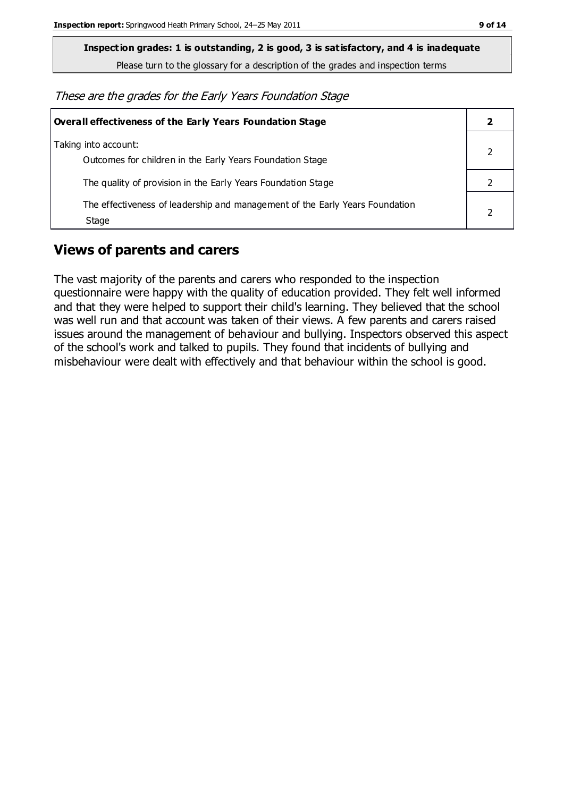**Inspection grades: 1 is outstanding, 2 is good, 3 is satisfactory, and 4 is inadequate**

Please turn to the glossary for a description of the grades and inspection terms

These are the grades for the Early Years Foundation Stage

| Overall effectiveness of the Early Years Foundation Stage                             |  |
|---------------------------------------------------------------------------------------|--|
| Taking into account:<br>Outcomes for children in the Early Years Foundation Stage     |  |
| The quality of provision in the Early Years Foundation Stage                          |  |
| The effectiveness of leadership and management of the Early Years Foundation<br>Stage |  |

## **Views of parents and carers**

The vast majority of the parents and carers who responded to the inspection questionnaire were happy with the quality of education provided. They felt well informed and that they were helped to support their child's learning. They believed that the school was well run and that account was taken of their views. A few parents and carers raised issues around the management of behaviour and bullying. Inspectors observed this aspect of the school's work and talked to pupils. They found that incidents of bullying and misbehaviour were dealt with effectively and that behaviour within the school is good.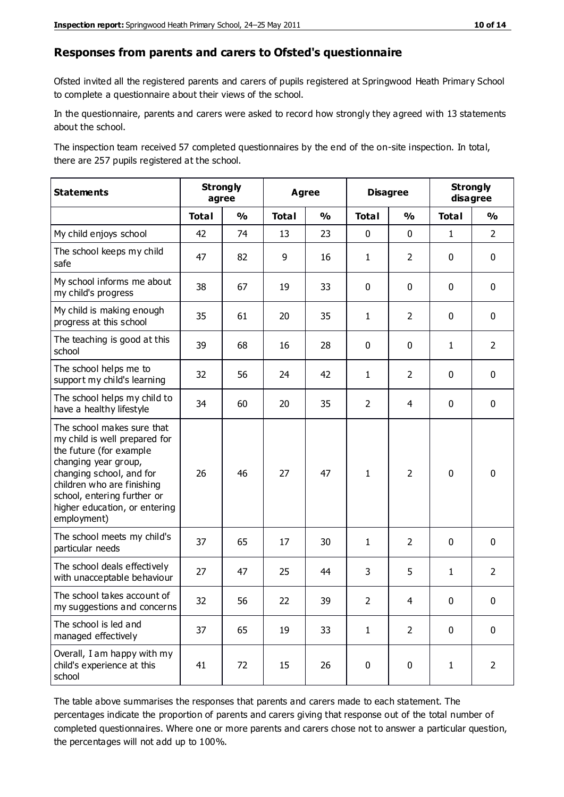#### **Responses from parents and carers to Ofsted's questionnaire**

Ofsted invited all the registered parents and carers of pupils registered at Springwood Heath Primary School to complete a questionnaire about their views of the school.

In the questionnaire, parents and carers were asked to record how strongly they agreed with 13 statements about the school.

The inspection team received 57 completed questionnaires by the end of the on-site inspection. In total, there are 257 pupils registered at the school.

| <b>Statements</b>                                                                                                                                                                                                                                       | <b>Strongly</b><br>agree |               | <b>Agree</b> |               | <b>Disagree</b> |                | <b>Strongly</b><br>disagree |                |
|---------------------------------------------------------------------------------------------------------------------------------------------------------------------------------------------------------------------------------------------------------|--------------------------|---------------|--------------|---------------|-----------------|----------------|-----------------------------|----------------|
|                                                                                                                                                                                                                                                         | <b>Total</b>             | $\frac{0}{0}$ | <b>Total</b> | $\frac{0}{0}$ | <b>Total</b>    | $\frac{0}{0}$  | <b>Total</b>                | $\frac{0}{0}$  |
| My child enjoys school                                                                                                                                                                                                                                  | 42                       | 74            | 13           | 23            | 0               | 0              | $\mathbf{1}$                | $\overline{2}$ |
| The school keeps my child<br>safe                                                                                                                                                                                                                       | 47                       | 82            | 9            | 16            | $\mathbf{1}$    | $\overline{2}$ | $\mathbf 0$                 | $\pmb{0}$      |
| My school informs me about<br>my child's progress                                                                                                                                                                                                       | 38                       | 67            | 19           | 33            | 0               | $\mathbf 0$    | $\mathbf 0$                 | $\mathbf 0$    |
| My child is making enough<br>progress at this school                                                                                                                                                                                                    | 35                       | 61            | 20           | 35            | 1               | $\overline{2}$ | $\mathbf 0$                 | $\mathbf 0$    |
| The teaching is good at this<br>school                                                                                                                                                                                                                  | 39                       | 68            | 16           | 28            | 0               | 0              | $\mathbf{1}$                | $\overline{2}$ |
| The school helps me to<br>support my child's learning                                                                                                                                                                                                   | 32                       | 56            | 24           | 42            | 1               | $\overline{2}$ | $\mathbf 0$                 | $\mathbf 0$    |
| The school helps my child to<br>have a healthy lifestyle                                                                                                                                                                                                | 34                       | 60            | 20           | 35            | $\overline{2}$  | 4              | 0                           | $\mathbf 0$    |
| The school makes sure that<br>my child is well prepared for<br>the future (for example<br>changing year group,<br>changing school, and for<br>children who are finishing<br>school, entering further or<br>higher education, or entering<br>employment) | 26                       | 46            | 27           | 47            | $\mathbf{1}$    | $\overline{2}$ | $\mathbf 0$                 | $\mathbf 0$    |
| The school meets my child's<br>particular needs                                                                                                                                                                                                         | 37                       | 65            | 17           | 30            | 1               | $\overline{2}$ | $\mathbf 0$                 | $\mathbf 0$    |
| The school deals effectively<br>with unacceptable behaviour                                                                                                                                                                                             | 27                       | 47            | 25           | 44            | 3               | 5              | $\mathbf{1}$                | $\overline{2}$ |
| The school takes account of<br>my suggestions and concerns                                                                                                                                                                                              | 32                       | 56            | 22           | 39            | $\overline{2}$  | 4              | 0                           | 0              |
| The school is led and<br>managed effectively                                                                                                                                                                                                            | 37                       | 65            | 19           | 33            | $\mathbf{1}$    | $\overline{2}$ | $\mathbf 0$                 | $\mathbf 0$    |
| Overall, I am happy with my<br>child's experience at this<br>school                                                                                                                                                                                     | 41                       | 72            | 15           | 26            | 0               | $\pmb{0}$      | $\mathbf{1}$                | $\overline{2}$ |

The table above summarises the responses that parents and carers made to each statement. The percentages indicate the proportion of parents and carers giving that response out of the total number of completed questionnaires. Where one or more parents and carers chose not to answer a particular question, the percentages will not add up to 100%.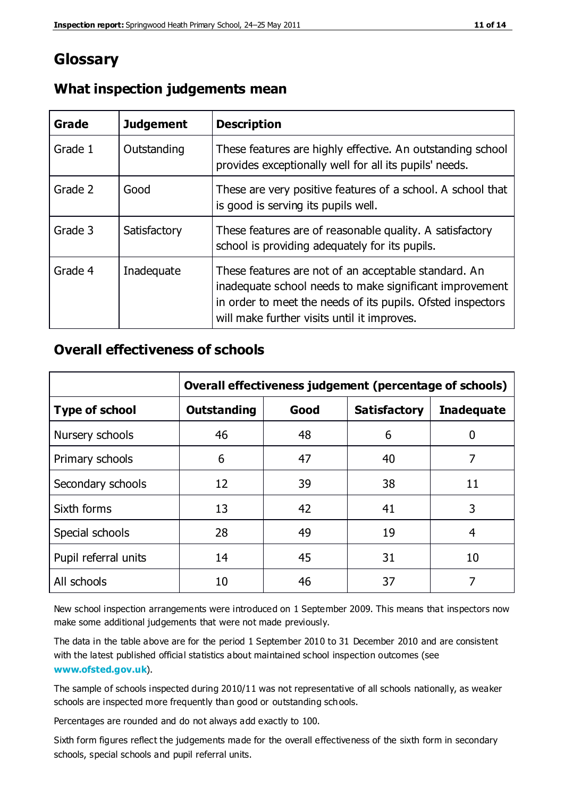## **Glossary**

| Grade   | <b>Judgement</b> | <b>Description</b>                                                                                                                                                                                                            |
|---------|------------------|-------------------------------------------------------------------------------------------------------------------------------------------------------------------------------------------------------------------------------|
| Grade 1 | Outstanding      | These features are highly effective. An outstanding school<br>provides exceptionally well for all its pupils' needs.                                                                                                          |
| Grade 2 | Good             | These are very positive features of a school. A school that<br>is good is serving its pupils well.                                                                                                                            |
| Grade 3 | Satisfactory     | These features are of reasonable quality. A satisfactory<br>school is providing adequately for its pupils.                                                                                                                    |
| Grade 4 | Inadequate       | These features are not of an acceptable standard. An<br>inadequate school needs to make significant improvement<br>in order to meet the needs of its pupils. Ofsted inspectors<br>will make further visits until it improves. |

## **What inspection judgements mean**

## **Overall effectiveness of schools**

|                       | Overall effectiveness judgement (percentage of schools) |      |                     |                   |
|-----------------------|---------------------------------------------------------|------|---------------------|-------------------|
| <b>Type of school</b> | <b>Outstanding</b>                                      | Good | <b>Satisfactory</b> | <b>Inadequate</b> |
| Nursery schools       | 46                                                      | 48   | 6                   |                   |
| Primary schools       | 6                                                       | 47   | 40                  | 7                 |
| Secondary schools     | 12                                                      | 39   | 38                  | 11                |
| Sixth forms           | 13                                                      | 42   | 41                  | 3                 |
| Special schools       | 28                                                      | 49   | 19                  | 4                 |
| Pupil referral units  | 14                                                      | 45   | 31                  | 10                |
| All schools           | 10                                                      | 46   | 37                  |                   |

New school inspection arrangements were introduced on 1 September 2009. This means that inspectors now make some additional judgements that were not made previously.

The data in the table above are for the period 1 September 2010 to 31 December 2010 and are consistent with the latest published official statistics about maintained school inspection outcomes (see **[www.ofsted.gov.uk](http://www.ofsted.gov.uk/)**).

The sample of schools inspected during 2010/11 was not representative of all schools nationally, as weaker schools are inspected more frequently than good or outstanding schools.

Percentages are rounded and do not always add exactly to 100.

Sixth form figures reflect the judgements made for the overall effectiveness of the sixth form in secondary schools, special schools and pupil referral units.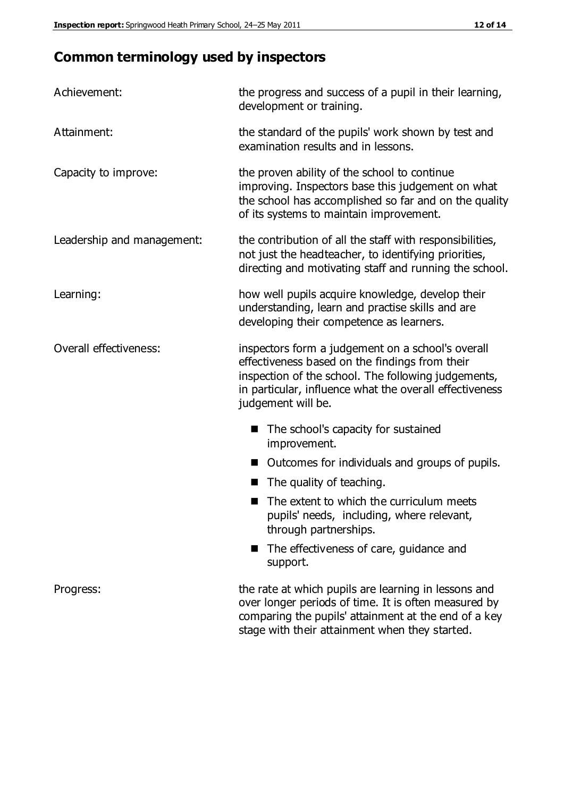## **Common terminology used by inspectors**

| Achievement:                  | the progress and success of a pupil in their learning,<br>development or training.                                                                                                                                                          |  |  |
|-------------------------------|---------------------------------------------------------------------------------------------------------------------------------------------------------------------------------------------------------------------------------------------|--|--|
| Attainment:                   | the standard of the pupils' work shown by test and<br>examination results and in lessons.                                                                                                                                                   |  |  |
| Capacity to improve:          | the proven ability of the school to continue<br>improving. Inspectors base this judgement on what<br>the school has accomplished so far and on the quality<br>of its systems to maintain improvement.                                       |  |  |
| Leadership and management:    | the contribution of all the staff with responsibilities,<br>not just the headteacher, to identifying priorities,<br>directing and motivating staff and running the school.                                                                  |  |  |
| Learning:                     | how well pupils acquire knowledge, develop their<br>understanding, learn and practise skills and are<br>developing their competence as learners.                                                                                            |  |  |
| <b>Overall effectiveness:</b> | inspectors form a judgement on a school's overall<br>effectiveness based on the findings from their<br>inspection of the school. The following judgements,<br>in particular, influence what the overall effectiveness<br>judgement will be. |  |  |
|                               | The school's capacity for sustained<br>improvement.                                                                                                                                                                                         |  |  |
|                               | Outcomes for individuals and groups of pupils.                                                                                                                                                                                              |  |  |
|                               | The quality of teaching.                                                                                                                                                                                                                    |  |  |
|                               | The extent to which the curriculum meets<br>pupils' needs, including, where relevant,<br>through partnerships.                                                                                                                              |  |  |
|                               | The effectiveness of care, guidance and<br>support.                                                                                                                                                                                         |  |  |
| Progress:                     | the rate at which pupils are learning in lessons and<br>over longer periods of time. It is often measured by<br>comparing the pupils' attainment at the end of a key                                                                        |  |  |

stage with their attainment when they started.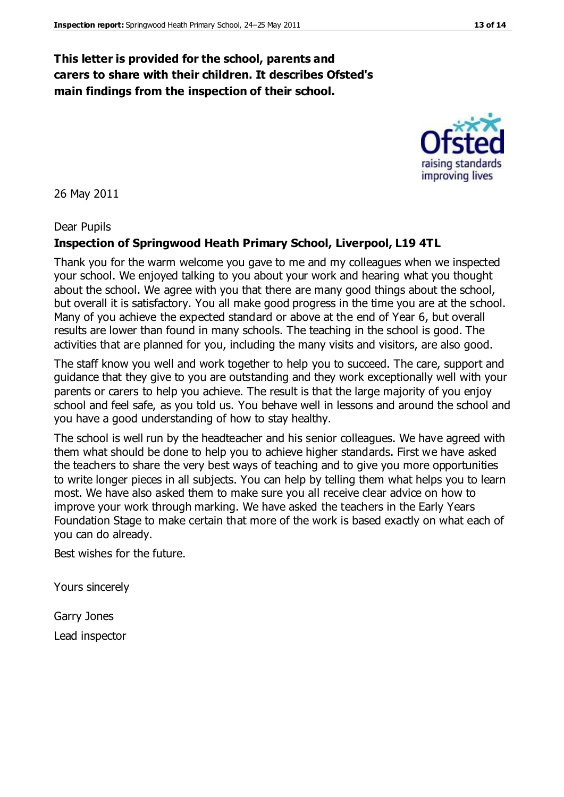## **This letter is provided for the school, parents and carers to share with their children. It describes Ofsted's main findings from the inspection of their school.**

26 May 2011

#### Dear Pupils

#### **Inspection of Springwood Heath Primary School, Liverpool, L19 4TL**

Thank you for the warm welcome you gave to me and my colleagues when we inspected your school. We enjoyed talking to you about your work and hearing what you thought about the school. We agree with you that there are many good things about the school, but overall it is satisfactory. You all make good progress in the time you are at the school. Many of you achieve the expected standard or above at the end of Year 6, but overall results are lower than found in many schools. The teaching in the school is good. The activities that are planned for you, including the many visits and visitors, are also good.

The staff know you well and work together to help you to succeed. The care, support and guidance that they give to you are outstanding and they work exceptionally well with your parents or carers to help you achieve. The result is that the large majority of you enjoy school and feel safe, as you told us. You behave well in lessons and around the school and you have a good understanding of how to stay healthy.

The school is well run by the headteacher and his senior colleagues. We have agreed with them what should be done to help you to achieve higher standards. First we have asked the teachers to share the very best ways of teaching and to give you more opportunities to write longer pieces in all subjects. You can help by telling them what helps you to learn most. We have also asked them to make sure you all receive clear advice on how to improve your work through marking. We have asked the teachers in the Early Years Foundation Stage to make certain that more of the work is based exactly on what each of you can do already.

Best wishes for the future.

Yours sincerely

Garry Jones Lead inspector